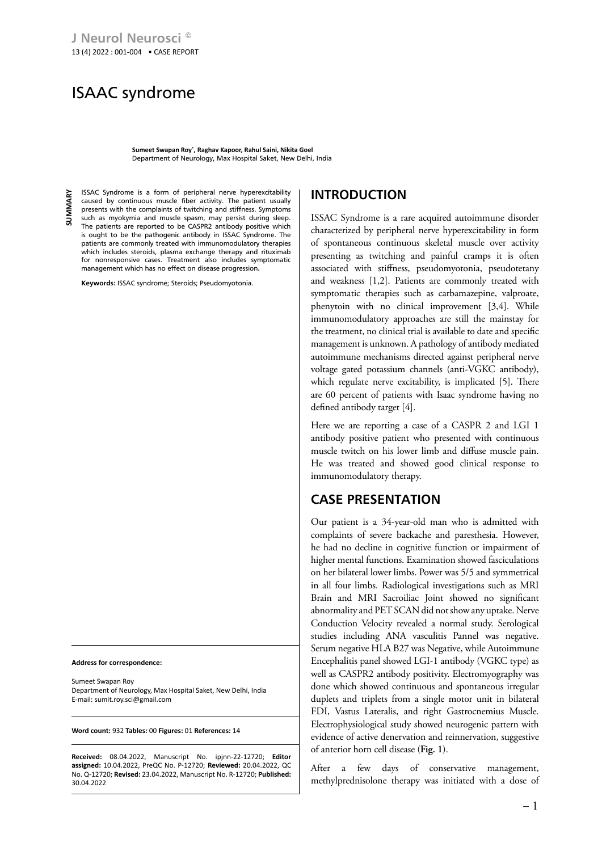# ISAAC syndrome

**Sumeet Swapan Roy\* , Raghav Kapoor, Rahul Saini, Nikita Goel** Department of Neurology, Max Hospital Saket, New Delhi, India

**SUMMARY** 혹 ISSAC Syndrome is a form of peripheral nerve hyperexcitability caused by continuous muscle fiber activity. The patient usually presents with the complaints of twitching and stiffness. Symptoms such as myokymia and muscle spasm, may persist during sleep. The patients are reported to be CASPR2 antibody positive which is ought to be the pathogenic antibody in ISSAC Syndrome. The patients are commonly treated with immunomodulatory therapies which includes steroids, plasma exchange therapy and rituximab for nonresponsive cases. Treatment also includes symptomatic management which has no effect on disease progression**.**

**Keywords:** ISSAC syndrome; Steroids; Pseudomyotonia.

**Address for correspondence:**

Sumeet Swapan Roy Department of Neurology, Max Hospital Saket, New Delhi, India E-mail: sumit.roy.sci@gmail.com

**Word count:** 932 **Tables:** 00 **Figures:** 01 **References:** 14

**Received:** 08.04.2022, Manuscript No. ipjnn-22-12720; **Editor assigned:** 10.04.2022, PreQC No. P-12720; **Reviewed:** 20.04.2022, QC No. Q-12720; **Revised:** 23.04.2022, Manuscript No. R-12720; **Published:** 30.04.2022

## **INTRODUCTION**

ISSAC Syndrome is a rare acquired autoimmune disorder characterized by peripheral nerve hyperexcitability in form of spontaneous continuous skeletal muscle over activity presenting as twitching and painful cramps it is often associated with stiffness, pseudomyotonia, pseudotetany and weakness [1,2]. Patients are commonly treated with symptomatic therapies such as carbamazepine, valproate, phenytoin with no clinical improvement [3,4]. While immunomodulatory approaches are still the mainstay for the treatment, no clinical trial is available to date and specific management is unknown. A pathology of antibody mediated autoimmune mechanisms directed against peripheral nerve voltage gated potassium channels (anti-VGKC antibody), which regulate nerve excitability, is implicated [5]. There are 60 percent of patients with Isaac syndrome having no defined antibody target [4].

Here we are reporting a case of a CASPR 2 and LGI 1 antibody positive patient who presented with continuous muscle twitch on his lower limb and diffuse muscle pain. He was treated and showed good clinical response to immunomodulatory therapy.

## **CASE PRESENTATION**

Our patient is a 34-year-old man who is admitted with complaints of severe backache and paresthesia. However, he had no decline in cognitive function or impairment of higher mental functions. Examination showed fasciculations on her bilateral lower limbs. Power was 5/5 and symmetrical in all four limbs. Radiological investigations such as MRI Brain and MRI Sacroiliac Joint showed no significant abnormality and PET SCAN did not show any uptake. Nerve Conduction Velocity revealed a normal study. Serological studies including ANA vasculitis Pannel was negative. Serum negative HLA B27 was Negative, while Autoimmune Encephalitis panel showed LGI-1 antibody (VGKC type) as well as CASPR2 antibody positivity. Electromyography was done which showed continuous and spontaneous irregular duplets and triplets from a single motor unit in bilateral FDI, Vastus Lateralis, and right Gastrocnemius Muscle. Electrophysiological study showed neurogenic pattern with evidence of active denervation and reinnervation, suggestive of anterior horn cell disease (**Fig. 1**).

After a few days of conservative management, methylprednisolone therapy was initiated with a dose of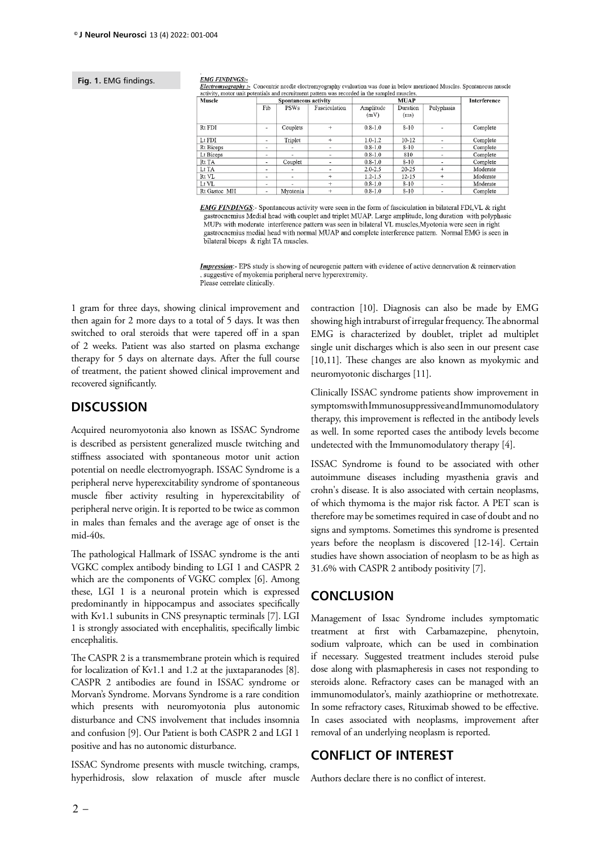#### **Fig. 1.** EMG findings.

#### **EMG FINDINGS:-**

Electromyography:- Concentric needle electromyography evaluation was done in below mentioned Muscles. Spontaneous muscle activity, motor unit potentials and recruitment pattern was recorded in the sampled muscles.

| Muscle       | Spontaneous activity     |                          |                          |             | <b>Interference</b> |                          |                      |  |
|--------------|--------------------------|--------------------------|--------------------------|-------------|---------------------|--------------------------|----------------------|--|
|              | Fib<br><b>PSWs</b>       |                          | Fasciculation            | Amplitude   | Duration            | Polyphasia               |                      |  |
|              |                          |                          |                          | (mV)        | (ms)                |                          |                      |  |
| Rt FDI       | $\,$                     | Couplets                 | $^{+}$                   | $0.8 - 1.0$ | $8 - 10$            | $\overline{\phantom{a}}$ | Complete             |  |
| $Lt$ FDI     | $\overline{\phantom{a}}$ | Triplet                  | $\ddot{}$                | $1.0 - 1.2$ | $10-12$             | ۰                        | Complete             |  |
| Rt Biceps    | $\overline{\phantom{a}}$ | ۰                        | $\overline{\phantom{a}}$ | $0.8 - 1.0$ | $8 - 10$            |                          | Complete             |  |
| Lt Biceps    | ۰                        | $\sim$                   | ۰                        | $0.8 - 1.0$ | 810                 | ۰                        | Complete             |  |
| Rt TA        | ۰                        | Couplet                  | $\overline{\phantom{0}}$ | $0.8 - 1.0$ | $8 - 10$            |                          | Complete<br>Moderate |  |
| Lt TA        | $\overline{\phantom{a}}$ | ۰                        | $\overline{\phantom{0}}$ | $2.0 - 2.5$ | $20 - 25$           | $^{+}$                   |                      |  |
| Rt VL        | $\overline{\phantom{a}}$ | $\overline{\phantom{a}}$ | $\ddot{}$                | $1.2 - 1.5$ | $12 - 15$           | ÷                        | Moderate             |  |
| Lt VL        | $\overline{\phantom{a}}$ | ۰                        | $\ddot{}$                | $0.8 - 1.0$ | $8 - 10$            | -                        | Moderate             |  |
| Rt Gastoc MH | $\overline{\phantom{a}}$ | Mvotonia                 | $^{+}$                   | $0.8 - 1.0$ | $8 - 10$            | $\sim$                   | Complete             |  |

EMG FINDINGS:- Spontaneous activity were seen in the form of fasciculation in bilateral FDI, VL & right gastrocnemius Medial head with couplet and triplet MUAP. Large amplitude, long duration with polyphasic MUPs with moderate interference pattern was seen in bilateral VL muscles, Myotonia were seen in right gastrocnemius medial head with normal MUAP and complete interference pattern. Normal EMG is seen in bilateral biceps & right TA muscles.

Impression: - EPS study is showing of neurogenic pattern with evidence of active dennervation & reinnervation suggestive of myokemia peripheral nerve hyperextremity. Please correlate clinically.

1 gram for three days, showing clinical improvement and then again for 2 more days to a total of 5 days. It was then switched to oral steroids that were tapered off in a span of 2 weeks. Patient was also started on plasma exchange therapy for 5 days on alternate days. After the full course of treatment, the patient showed clinical improvement and recovered significantly.

### **DISCUSSION**

Acquired neuromyotonia also known as ISSAC Syndrome is described as persistent generalized muscle twitching and stiffness associated with spontaneous motor unit action potential on needle electromyograph. ISSAC Syndrome is a peripheral nerve hyperexcitability syndrome of spontaneous muscle fiber activity resulting in hyperexcitability of peripheral nerve origin. It is reported to be twice as common in males than females and the average age of onset is the mid-40s.

The pathological Hallmark of ISSAC syndrome is the anti VGKC complex antibody binding to LGI 1 and CASPR 2 which are the components of VGKC complex [6]. Among these, LGI 1 is a neuronal protein which is expressed predominantly in hippocampus and associates specifically with Kv1.1 subunits in CNS presynaptic terminals [7]. LGI 1 is strongly associated with encephalitis, specifically limbic encephalitis.

The CASPR 2 is a transmembrane protein which is required for localization of Kv1.1 and 1.2 at the juxtaparanodes [8]. CASPR 2 antibodies are found in ISSAC syndrome or Morvan's Syndrome. Morvans Syndrome is a rare condition which presents with neuromyotonia plus autonomic disturbance and CNS involvement that includes insomnia and confusion [9]. Our Patient is both CASPR 2 and LGI 1 positive and has no autonomic disturbance.

ISSAC Syndrome presents with muscle twitching, cramps, hyperhidrosis, slow relaxation of muscle after muscle contraction [10]. Diagnosis can also be made by EMG showing high intraburst of irregular frequency. The abnormal EMG is characterized by doublet, triplet ad multiplet single unit discharges which is also seen in our present case [10,11]. These changes are also known as myokymic and neuromyotonic discharges [11].

Clinically ISSAC syndrome patients show improvement in symptoms with Immunosuppressive and Immunomodulatory therapy, this improvement is reflected in the antibody levels as well. In some reported cases the antibody levels become undetected with the Immunomodulatory therapy [4].

ISSAC Syndrome is found to be associated with other autoimmune diseases including myasthenia gravis and crohn's disease. It is also associated with certain neoplasms, of which thymoma is the major risk factor. A PET scan is therefore may be sometimes required in case of doubt and no signs and symptoms. Sometimes this syndrome is presented years before the neoplasm is discovered [12-14]. Certain studies have shown association of neoplasm to be as high as 31.6% with CASPR 2 antibody positivity [7].

### **CONCLUSION**

Management of Issac Syndrome includes symptomatic treatment at first with Carbamazepine, phenytoin, sodium valproate, which can be used in combination if necessary. Suggested treatment includes steroid pulse dose along with plasmapheresis in cases not responding to steroids alone. Refractory cases can be managed with an immunomodulator's, mainly azathioprine or methotrexate. In some refractory cases, Rituximab showed to be effective. In cases associated with neoplasms, improvement after removal of an underlying neoplasm is reported.

### **CONFLICT OF INTEREST**

Authors declare there is no conflict of interest.